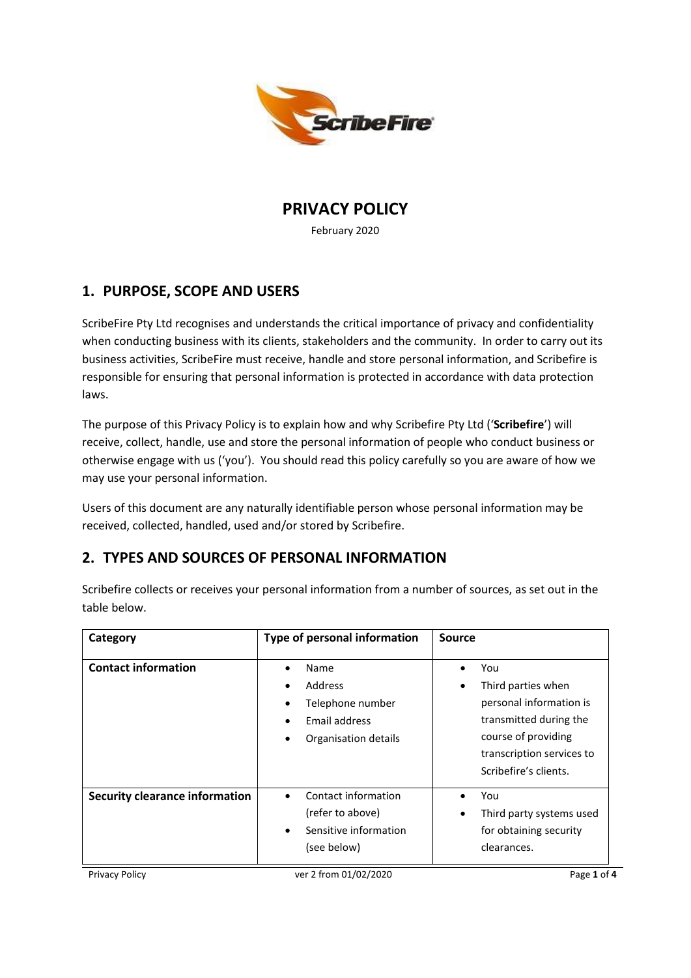

**PRIVACY POLICY**

February 2020

## **1. PURPOSE, SCOPE AND USERS**

ScribeFire Pty Ltd recognises and understands the critical importance of privacy and confidentiality when conducting business with its clients, stakeholders and the community. In order to carry out its business activities, ScribeFire must receive, handle and store personal information, and Scribefire is responsible for ensuring that personal information is protected in accordance with data protection laws.

The purpose of this Privacy Policy is to explain how and why Scribefire Pty Ltd ('**Scribefire**') will receive, collect, handle, use and store the personal information of people who conduct business or otherwise engage with us ('you'). You should read this policy carefully so you are aware of how we may use your personal information.

Users of this document are any naturally identifiable person whose personal information may be received, collected, handled, used and/or stored by Scribefire.

# **2. TYPES AND SOURCES OF PERSONAL INFORMATION**

| Category                              | Type of personal information                                                                        | Source                                                                                                                                                      |
|---------------------------------------|-----------------------------------------------------------------------------------------------------|-------------------------------------------------------------------------------------------------------------------------------------------------------------|
| <b>Contact information</b>            | Name<br>$\bullet$<br>Address<br>Telephone number<br>٠<br>Email address<br>٠<br>Organisation details | You<br>Third parties when<br>personal information is<br>transmitted during the<br>course of providing<br>transcription services to<br>Scribefire's clients. |
| <b>Security clearance information</b> | Contact information<br>٠<br>(refer to above)<br>Sensitive information<br>$\bullet$<br>(see below)   | You<br>Third party systems used<br>٠<br>for obtaining security<br>clearances.                                                                               |

Scribefire collects or receives your personal information from a number of sources, as set out in the table below.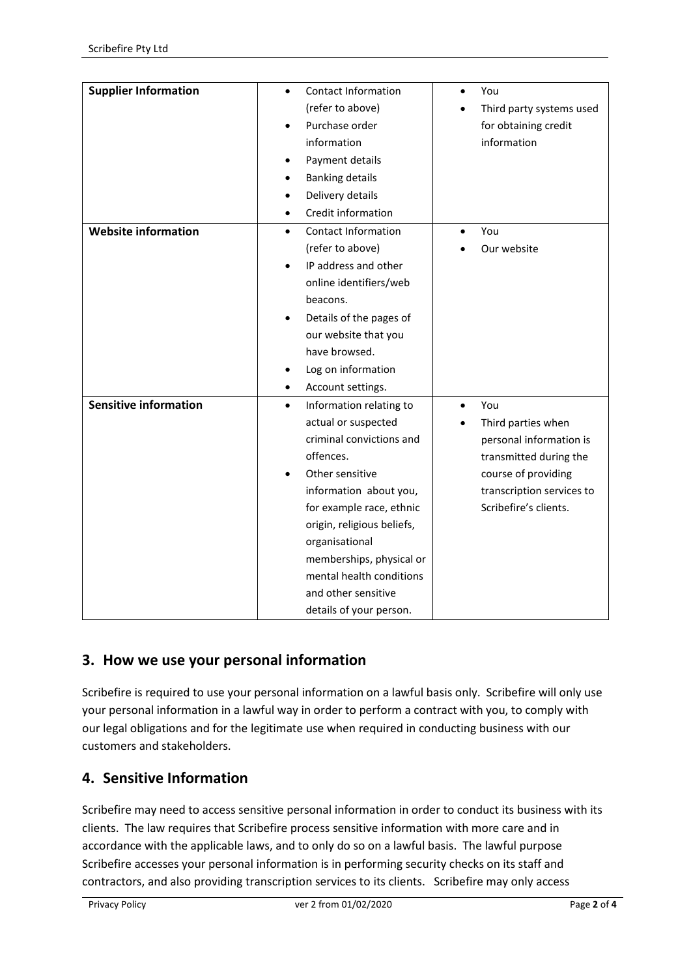| <b>Supplier Information</b><br><b>Contact Information</b><br>You<br>$\bullet$<br>(refer to above)<br>Third party systems used<br>Purchase order<br>for obtaining credit<br>$\bullet$<br>information<br>information<br>Payment details<br><b>Banking details</b><br>$\bullet$<br>Delivery details<br>Credit information<br>$\bullet$<br><b>Website information</b><br><b>Contact Information</b><br>You<br>$\bullet$<br>$\bullet$<br>(refer to above)<br>Our website<br>IP address and other<br>online identifiers/web<br>beacons.<br>Details of the pages of<br>٠<br>our website that you<br>have browsed.<br>Log on information<br>٠<br>Account settings.<br>$\bullet$<br><b>Sensitive information</b><br>Information relating to<br>You<br>$\bullet$<br>actual or suspected<br>Third parties when<br>criminal convictions and<br>personal information is<br>offences.<br>transmitted during the<br>Other sensitive<br>course of providing<br>$\bullet$ |  |  |
|----------------------------------------------------------------------------------------------------------------------------------------------------------------------------------------------------------------------------------------------------------------------------------------------------------------------------------------------------------------------------------------------------------------------------------------------------------------------------------------------------------------------------------------------------------------------------------------------------------------------------------------------------------------------------------------------------------------------------------------------------------------------------------------------------------------------------------------------------------------------------------------------------------------------------------------------------------|--|--|
|                                                                                                                                                                                                                                                                                                                                                                                                                                                                                                                                                                                                                                                                                                                                                                                                                                                                                                                                                          |  |  |
|                                                                                                                                                                                                                                                                                                                                                                                                                                                                                                                                                                                                                                                                                                                                                                                                                                                                                                                                                          |  |  |
|                                                                                                                                                                                                                                                                                                                                                                                                                                                                                                                                                                                                                                                                                                                                                                                                                                                                                                                                                          |  |  |
|                                                                                                                                                                                                                                                                                                                                                                                                                                                                                                                                                                                                                                                                                                                                                                                                                                                                                                                                                          |  |  |
|                                                                                                                                                                                                                                                                                                                                                                                                                                                                                                                                                                                                                                                                                                                                                                                                                                                                                                                                                          |  |  |
|                                                                                                                                                                                                                                                                                                                                                                                                                                                                                                                                                                                                                                                                                                                                                                                                                                                                                                                                                          |  |  |
|                                                                                                                                                                                                                                                                                                                                                                                                                                                                                                                                                                                                                                                                                                                                                                                                                                                                                                                                                          |  |  |
|                                                                                                                                                                                                                                                                                                                                                                                                                                                                                                                                                                                                                                                                                                                                                                                                                                                                                                                                                          |  |  |
|                                                                                                                                                                                                                                                                                                                                                                                                                                                                                                                                                                                                                                                                                                                                                                                                                                                                                                                                                          |  |  |
|                                                                                                                                                                                                                                                                                                                                                                                                                                                                                                                                                                                                                                                                                                                                                                                                                                                                                                                                                          |  |  |
|                                                                                                                                                                                                                                                                                                                                                                                                                                                                                                                                                                                                                                                                                                                                                                                                                                                                                                                                                          |  |  |
|                                                                                                                                                                                                                                                                                                                                                                                                                                                                                                                                                                                                                                                                                                                                                                                                                                                                                                                                                          |  |  |
|                                                                                                                                                                                                                                                                                                                                                                                                                                                                                                                                                                                                                                                                                                                                                                                                                                                                                                                                                          |  |  |
|                                                                                                                                                                                                                                                                                                                                                                                                                                                                                                                                                                                                                                                                                                                                                                                                                                                                                                                                                          |  |  |
|                                                                                                                                                                                                                                                                                                                                                                                                                                                                                                                                                                                                                                                                                                                                                                                                                                                                                                                                                          |  |  |
|                                                                                                                                                                                                                                                                                                                                                                                                                                                                                                                                                                                                                                                                                                                                                                                                                                                                                                                                                          |  |  |
|                                                                                                                                                                                                                                                                                                                                                                                                                                                                                                                                                                                                                                                                                                                                                                                                                                                                                                                                                          |  |  |
|                                                                                                                                                                                                                                                                                                                                                                                                                                                                                                                                                                                                                                                                                                                                                                                                                                                                                                                                                          |  |  |
|                                                                                                                                                                                                                                                                                                                                                                                                                                                                                                                                                                                                                                                                                                                                                                                                                                                                                                                                                          |  |  |
|                                                                                                                                                                                                                                                                                                                                                                                                                                                                                                                                                                                                                                                                                                                                                                                                                                                                                                                                                          |  |  |
|                                                                                                                                                                                                                                                                                                                                                                                                                                                                                                                                                                                                                                                                                                                                                                                                                                                                                                                                                          |  |  |
|                                                                                                                                                                                                                                                                                                                                                                                                                                                                                                                                                                                                                                                                                                                                                                                                                                                                                                                                                          |  |  |
|                                                                                                                                                                                                                                                                                                                                                                                                                                                                                                                                                                                                                                                                                                                                                                                                                                                                                                                                                          |  |  |
| information about you,<br>transcription services to                                                                                                                                                                                                                                                                                                                                                                                                                                                                                                                                                                                                                                                                                                                                                                                                                                                                                                      |  |  |
| Scribefire's clients.<br>for example race, ethnic                                                                                                                                                                                                                                                                                                                                                                                                                                                                                                                                                                                                                                                                                                                                                                                                                                                                                                        |  |  |
| origin, religious beliefs,                                                                                                                                                                                                                                                                                                                                                                                                                                                                                                                                                                                                                                                                                                                                                                                                                                                                                                                               |  |  |
| organisational                                                                                                                                                                                                                                                                                                                                                                                                                                                                                                                                                                                                                                                                                                                                                                                                                                                                                                                                           |  |  |
| memberships, physical or                                                                                                                                                                                                                                                                                                                                                                                                                                                                                                                                                                                                                                                                                                                                                                                                                                                                                                                                 |  |  |
| mental health conditions                                                                                                                                                                                                                                                                                                                                                                                                                                                                                                                                                                                                                                                                                                                                                                                                                                                                                                                                 |  |  |
| and other sensitive                                                                                                                                                                                                                                                                                                                                                                                                                                                                                                                                                                                                                                                                                                                                                                                                                                                                                                                                      |  |  |
| details of your person.                                                                                                                                                                                                                                                                                                                                                                                                                                                                                                                                                                                                                                                                                                                                                                                                                                                                                                                                  |  |  |

## **3. How we use your personal information**

Scribefire is required to use your personal information on a lawful basis only. Scribefire will only use your personal information in a lawful way in order to perform a contract with you, to comply with our legal obligations and for the legitimate use when required in conducting business with our customers and stakeholders.

## **4. Sensitive Information**

Scribefire may need to access sensitive personal information in order to conduct its business with its clients. The law requires that Scribefire process sensitive information with more care and in accordance with the applicable laws, and to only do so on a lawful basis. The lawful purpose Scribefire accesses your personal information is in performing security checks on its staff and contractors, and also providing transcription services to its clients. Scribefire may only access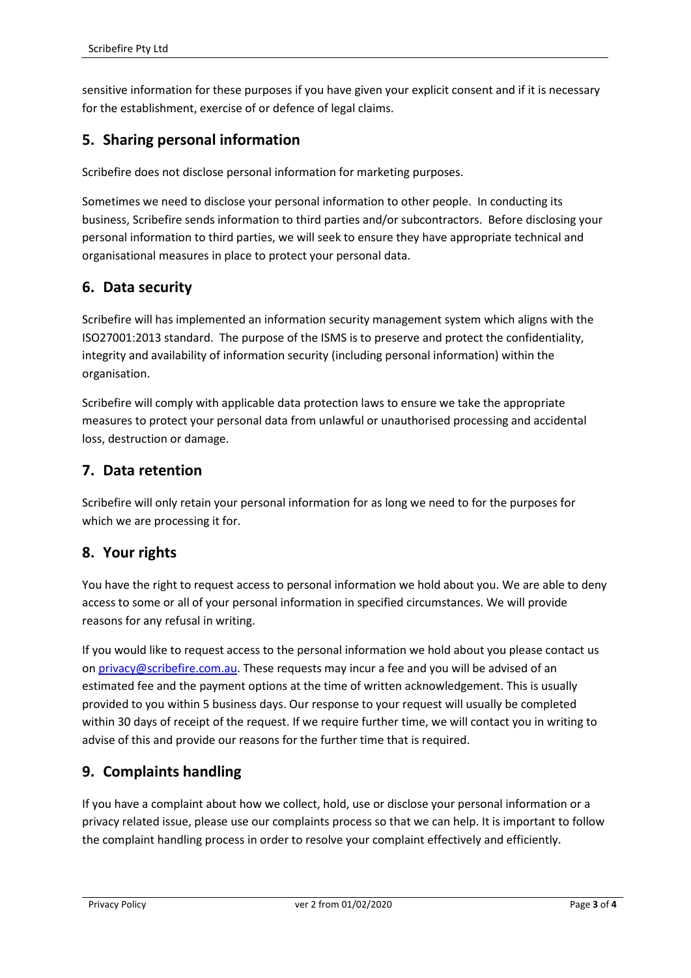sensitive information for these purposes if you have given your explicit consent and if it is necessary for the establishment, exercise of or defence of legal claims.

#### **5. Sharing personal information**

Scribefire does not disclose personal information for marketing purposes.

Sometimes we need to disclose your personal information to other people. In conducting its business, Scribefire sends information to third parties and/or subcontractors. Before disclosing your personal information to third parties, we will seek to ensure they have appropriate technical and organisational measures in place to protect your personal data.

## **6. Data security**

Scribefire will has implemented an information security management system which aligns with the ISO27001:2013 standard. The purpose of the ISMS is to preserve and protect the confidentiality, integrity and availability of information security (including personal information) within the organisation.

Scribefire will comply with applicable data protection laws to ensure we take the appropriate measures to protect your personal data from unlawful or unauthorised processing and accidental loss, destruction or damage.

#### **7. Data retention**

Scribefire will only retain your personal information for as long we need to for the purposes for which we are processing it for.

## **8. Your rights**

You have the right to request access to personal information we hold about you. We are able to deny access to some or all of your personal information in specified circumstances. We will provide reasons for any refusal in writing.

If you would like to request access to the personal information we hold about you please contact us on [privacy@scribefire.com.au.](mailto:privacy@scribefire.com.au) These requests may incur a fee and you will be advised of an estimated fee and the payment options at the time of written acknowledgement. This is usually provided to you within 5 business days. Our response to your request will usually be completed within 30 days of receipt of the request. If we require further time, we will contact you in writing to advise of this and provide our reasons for the further time that is required.

## **9. Complaints handling**

If you have a complaint about how we collect, hold, use or disclose your personal information or a privacy related issue, please use our complaints process so that we can help. It is important to follow the complaint handling process in order to resolve your complaint effectively and efficiently.